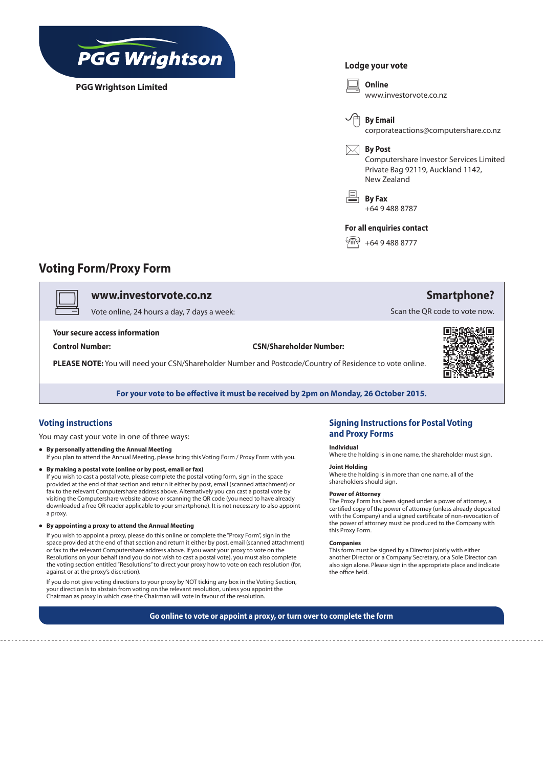

**PGG Wrightson Limited**

# **Lodge your vote**



# **Voting Form/Proxy Form**

v **www.investorvote.co.nz**

Vote online, 24 hours a day, 7 days a week:

**Your secure access information**

**Control Number: CSN/Shareholder Number:**

**PLEASE NOTE:** You will need your CSN/Shareholder Number and Postcode/Country of Residence to vote online.



Scan the QR code to vote now.

**For your vote to be effective it must be received by 2pm on Monday, 26 October 2015.**

# **Voting instructions**

You may cast your vote in one of three ways:

- **• By personally attending the Annual Meeting** If you plan to attend the Annual Meeting, please bring this Voting Form / Proxy Form with you.
- **• By making a postal vote (online or by post, email or fax)**  If you wish to cast a postal vote, please complete the postal voting form, sign in the space provided at the end of that section and return it either by post, email (scanned attachment) or fax to the relevant Computershare address above. Alternatively you can cast a postal vote by visiting the Computershare website above or scanning the QR code (you need to have already downloaded a free QR reader applicable to your smartphone). It is not necessary to also appoint a proxy.
- **• By appointing a proxy to attend the Annual Meeting**

If you wish to appoint a proxy, please do this online or complete the "Proxy Form", sign in the space provided at the end of that section and return it either by post, email (scanned attachment) or fax to the relevant Computershare address above. If you want your proxy to vote on the Resolutions on your behalf (and you do not wish to cast a postal vote), you must also complete the voting section entitled "Resolutions" to direct your proxy how to vote on each resolution (for, against or at the proxy's discretion).

If you do not give voting directions to your proxy by NOT ticking any box in the Voting Section, your direction is to abstain from voting on the relevant resolution, unless you appoint the Chairman as proxy in which case the Chairman will vote in favour of the resolution.

# **Signing Instructions for Postal Voting and Proxy Forms**

## **Individual**

Where the holding is in one name, the shareholder must sign.

# **Joint Holding**

Where the holding is in more than one name, all of the shareholders should sign.

#### **Power of Attorney**

The Proxy Form has been signed under a power of attorney, a certified copy of the power of attorney (unless already deposited with the Company) and a signed certificate of non-revocation of the power of attorney must be produced to the Company with this Proxy Form.

#### **Companies**

This form must be signed by a Director jointly with either another Director or a Company Secretary, or a Sole Director can also sign alone. Please sign in the appropriate place and indicate the office held.

**Go online to vote or appoint a proxy, or turn over to complete the form**